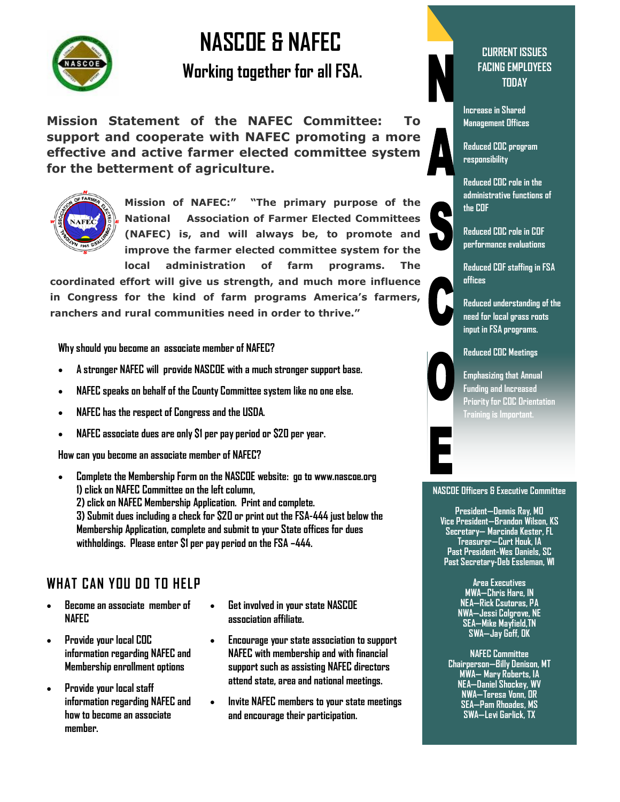

# **NASCOE & NAFEC**

**Working together for all FSA.**

**Mission Statement of the NAFEC Committee: To support and cooperate with NAFEC promoting a more effective and active farmer elected committee system for the betterment of agriculture.**



**Mission of NAFEC:" "The primary purpose of the National Association of Farmer Elected Committees (NAFEC) is, and will always be, to promote and improve the farmer elected committee system for the local administration of farm programs. The** 

**coordinated effort will give us strength, and much more influence in Congress for the kind of farm programs America's farmers, ranchers and rural communities need in order to thrive."**

**Why should you become an associate member of NAFEC?**

- **A stronger NAFEC will provide NASCOE with a much stronger support base.**
- **NAFEC speaks on behalf of the County Committee system like no one else.**
- **NAFEC has the respect of Congress and the USDA.**
- **NAFEC associate dues are only \$1 per pay period or \$20 per year.**

**How can you become an associate member of NAFEC?**

 **Complete the Membership Form on the NASCOE website: go to www.nascoe.org 1) click on NAFEC Committee on the left column, 2) click on NAFEC Membership Application. Print and complete. 3) Submit dues including a check for \$20 or print out the FSA-444 just below the Membership Application, complete and submit to your State offices for dues withholdings. Please enter \$1 per pay period on the FSA –444.**

# **WHAT CAN YOU DO TO HELP**

- **Become an associate member of NAFEC**
- **Provide your local COC information regarding NAFEC and Membership enrollment options**
- **Provide your local staff information regarding NAFEC and how to become an associate member.**
- **Get involved in your state NASCOE association affiliate.**
- **Encourage your state association to support NAFEC with membership and with financial support such as assisting NAFEC directors attend state, area and national meetings.**
- **Invite NAFEC members to your state meetings and encourage their participation.**



#### **CURRENT ISSUES FACING EMPLOYEES TODAY**

**Increase in Shared Management Offices**

**Reduced COC program responsibility**

**Reduced COC role in the administrative functions of the COF**

**Reduced COC role in COF performance evaluations**

**Reduced COF staffing in FSA offices**

**Reduced understanding of the need for local grass roots input in FSA programs.** 



**Emphasizing that Annual Funding and Increased Priority for COC Orientation Training is Important.**

#### **NASCOE Officers & Executive Committee**

**President—Dennis Ray, MO Vice President—Brandon Wilson, KS Secretary— Marcinda Kester, FL Treasurer—Curt Houk, IA Past President-Wes Daniels, SC Past Secretary-Deb Essleman, WI**

> **Area Executives MWA—Chris Hare, IN NEA—Rick Csutoras, PA NWA—Jessi Colgrove, NE SEA—Mike Mayfield,TN SWA—Jay Goff, OK**

**NAFEC Committee Chairperson—Billy Denison, MT MWA— Mary Roberts, IA NEA—Daniel Shockey, WV NWA—Teresa Vonn, OR SEA—Pam Rhoades, MS SWA—Levi Garlick, TX**